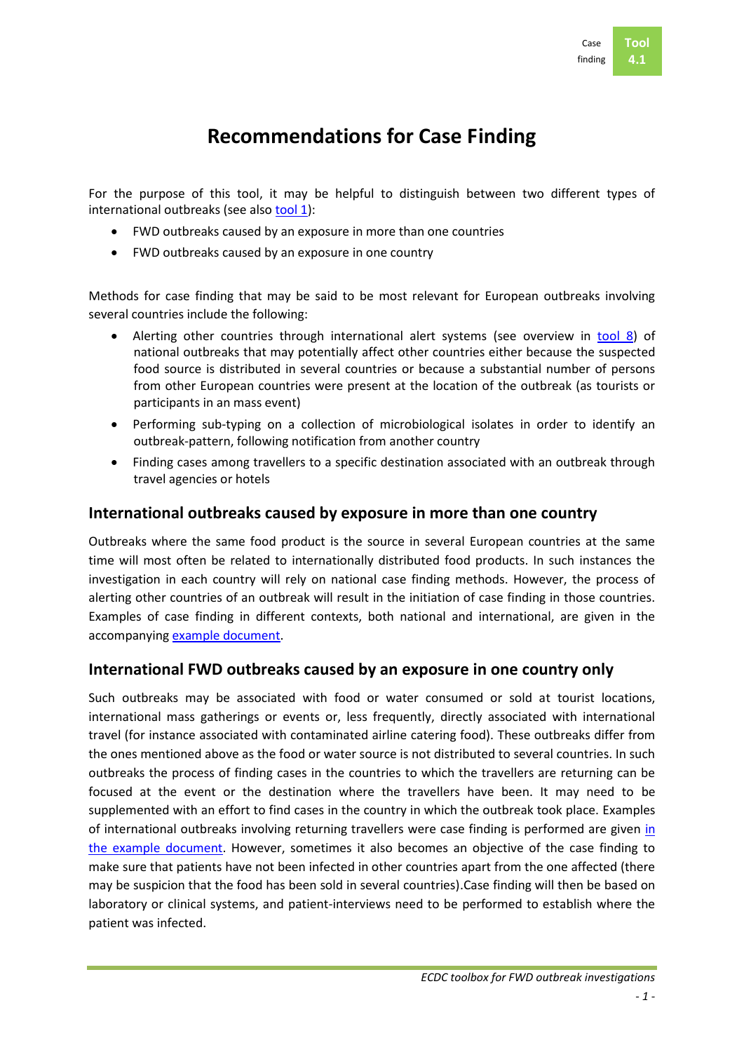# **Recommendations for Case Finding**

For the purpose of this tool, it may be helpful to distinguish between two different types of international outbreaks (see also [tool 1\)](../Tool%2001%20Criteria%20for%20EU%20level%20FWD%20outbreak/Tool%2001.%200.%20Intro.doc):

- FWD outbreaks caused by an exposure in more than one countries
- FWD outbreaks caused by an exposure in one country

Methods for case finding that may be said to be most relevant for European outbreaks involving several countries include the following:

- Alerting other countries through international alert systems (see overview in [tool 8\)](../Tool%2008%20Alert%20systems/Tool%2008.%200.%20Intro.doc) of national outbreaks that may potentially affect other countries either because the suspected food source is distributed in several countries or because a substantial number of persons from other European countries were present at the location of the outbreak (as tourists or participants in an mass event)
- Performing sub-typing on a collection of microbiological isolates in order to identify an outbreak-pattern, following notification from another country
- Finding cases among travellers to a specific destination associated with an outbreak through travel agencies or hotels

### **International outbreaks caused by exposure in more than one country**

Outbreaks where the same food product is the source in several European countries at the same time will most often be related to internationally distributed food products. In such instances the investigation in each country will rely on national case finding methods. However, the process of alerting other countries of an outbreak will result in the initiation of case finding in those countries. Examples of case finding in different contexts, both national and international, are given in the accompanying [example document.](Tool%2004.%202.%20Examples.doc)

### **International FWD outbreaks caused by an exposure in one country only**

Such outbreaks may be associated with food or water consumed or sold at tourist locations, international mass gatherings or events or, less frequently, directly associated with international travel (for instance associated with contaminated airline catering food). These outbreaks differ from the ones mentioned above as the food or water source is not distributed to several countries. In such outbreaks the process of finding cases in the countries to which the travellers are returning can be focused at the event or the destination where the travellers have been. It may need to be supplemented with an effort to find cases in the country in which the outbreak took place. Examples of international outbreaks involving returning travellers were case finding is performed are given [in](Tool%2004.%202.%20Examples.doc)  [the example](Tool%2004.%202.%20Examples.doc) document. However, sometimes it also becomes an objective of the case finding to make sure that patients have not been infected in other countries apart from the one affected (there may be suspicion that the food has been sold in several countries).Case finding will then be based on laboratory or clinical systems, and patient-interviews need to be performed to establish where the patient was infected.